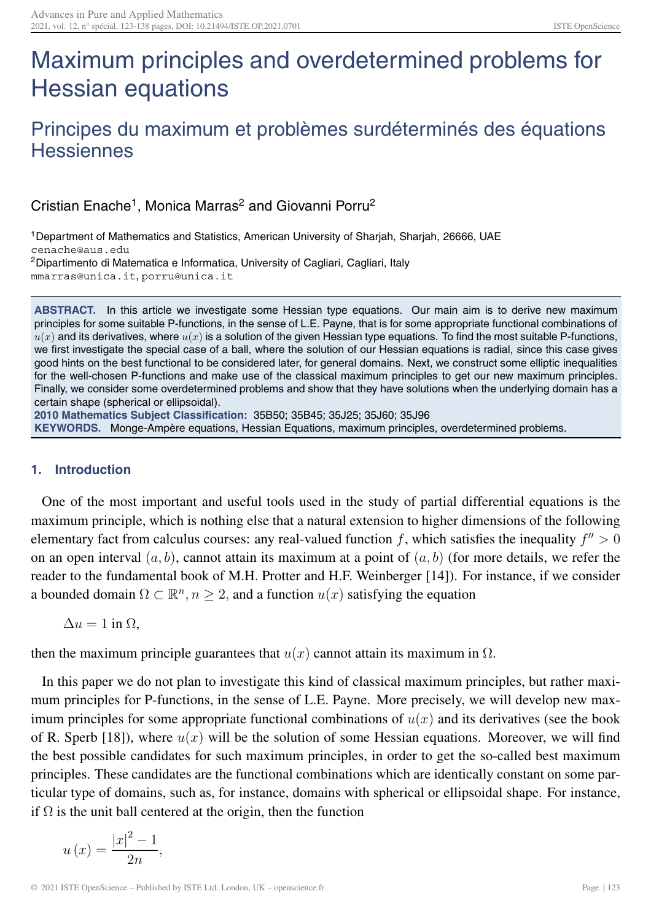# Maximum principles and overdetermined problems for Hessian equations

# Principes du maximum et problèmes surdéterminés des équations Hessiennes

Cristian Enache<sup>1</sup>, Monica Marras<sup>2</sup> and Giovanni Porru<sup>2</sup>

1Department of Mathematics and Statistics, American University of Sharjah, Sharjah, 26666, UAE cenache@aus.edu 2Dipartimento di Matematica e Informatica, University of Cagliari, Cagliari, Italy

mmarras@unica.it, porru@unica.it

**ABSTRACT.** In this article we investigate some Hessian type equations. Our main aim is to derive new maximum principles for some suitable P-functions, in the sense of L.E. Payne, that is for some appropriate functional combinations of  $u(x)$  and its derivatives, where  $u(x)$  is a solution of the given Hessian type equations. To find the most suitable P-functions, we first investigate the special case of a ball, where the solution of our Hessian equations is radial, since this case gives good hints on the best functional to be considered later, for general domains. Next, we construct some elliptic inequalities for the well-chosen P-functions and make use of the classical maximum principles to get our new maximum principles. Finally, we consider some overdetermined problems and show that they have solutions when the underlying domain has a certain shape (spherical or ellipsoidal).

**2010 Mathematics Subject Classification:** 35B50; 35B45; 35J25; 35J60; 35J96 **KEYWORDS.** Monge-Ampère equations, Hessian Equations, maximum principles, overdetermined problems.

# **1. Introduction**

One of the most important and useful tools used in the study of partial differential equations is the maximum principle, which is nothing else that a natural extension to higher dimensions of the following elementary fact from calculus courses: any real-valued function f, which satisfies the inequality  $f'' > 0$ on an open interval  $(a, b)$ , cannot attain its maximum at a point of  $(a, b)$  (for more details, we refer the reader to the fundamental book of M.H. Protter and H.F. Weinberger [14]). For instance, if we consider a bounded domain  $\Omega \subset \mathbb{R}^n$ ,  $n \geq 2$ , and a function  $u(x)$  satisfying the equation

 $\Delta u = 1$  in  $\Omega$ .

then the maximum principle guarantees that  $u(x)$  cannot attain its maximum in  $\Omega$ .

In this paper we do not plan to investigate this kind of classical maximum principles, but rather maximum principles for P-functions, in the sense of L.E. Payne. More precisely, we will develop new maximum principles for some appropriate functional combinations of  $u(x)$  and its derivatives (see the book of R. Sperb [18]), where  $u(x)$  will be the solution of some Hessian equations. Moreover, we will find the best possible candidates for such maximum principles, in order to get the so-called best maximum principles. These candidates are the functional combinations which are identically constant on some particular type of domains, such as, for instance, domains with spherical or ellipsoidal shape. For instance, if  $\Omega$  is the unit ball centered at the origin, then the function

$$
u\left(x\right) = \frac{\left|x\right|^2 - 1}{2n},
$$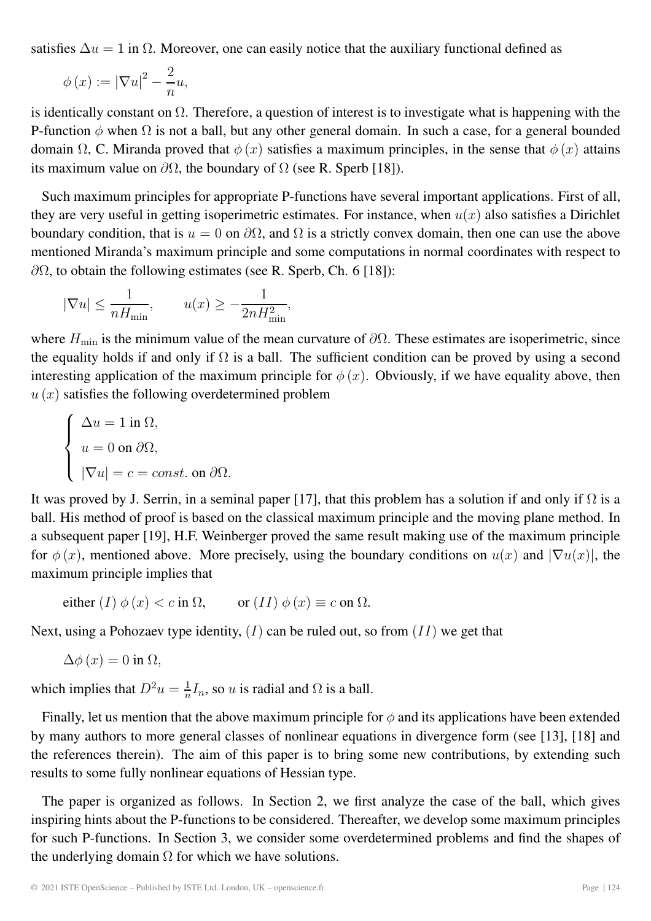satisfies  $\Delta u = 1$  in  $\Omega$ . Moreover, one can easily notice that the auxiliary functional defined as

$$
\phi(x) := |\nabla u|^2 - \frac{2}{n}u,
$$

is identically constant on  $\Omega$ . Therefore, a question of interest is to investigate what is happening with the P-function  $\phi$  when  $\Omega$  is not a ball, but any other general domain. In such a case, for a general bounded domain  $\Omega$ , C. Miranda proved that  $\phi(x)$  satisfies a maximum principles, in the sense that  $\phi(x)$  attains its maximum value on  $\partial\Omega$ , the boundary of  $\Omega$  (see R. Sperb [18]).

Such maximum principles for appropriate P-functions have several important applications. First of all, they are very useful in getting isoperimetric estimates. For instance, when  $u(x)$  also satisfies a Dirichlet boundary condition, that is  $u = 0$  on  $\partial\Omega$ , and  $\Omega$  is a strictly convex domain, then one can use the above mentioned Miranda's maximum principle and some computations in normal coordinates with respect to  $\partial\Omega$ , to obtain the following estimates (see R. Sperb, Ch. 6 [18]):

$$
|\nabla u|\leq \frac{1}{nH_{\min}},\qquad u(x)\geq -\frac{1}{2nH_{\min}^2},
$$

where  $H_{\text{min}}$  is the minimum value of the mean curvature of  $\partial\Omega$ . These estimates are isoperimetric, since the equality holds if and only if  $\Omega$  is a ball. The sufficient condition can be proved by using a second interesting application of the maximum principle for  $\phi(x)$ . Obviously, if we have equality above, then  $u(x)$  satisfies the following overdetermined problem

$$
\begin{cases}\n\Delta u = 1 \text{ in } \Omega, \\
u = 0 \text{ on } \partial\Omega, \\
|\nabla u| = c = const. \text{ on } \partial\Omega.\n\end{cases}
$$

It was proved by J. Serrin, in a seminal paper [17], that this problem has a solution if and only if  $\Omega$  is a ball. His method of proof is based on the classical maximum principle and the moving plane method. In a subsequent paper [19], H.F. Weinberger proved the same result making use of the maximum principle for  $\phi(x)$ , mentioned above. More precisely, using the boundary conditions on  $u(x)$  and  $|\nabla u(x)|$ , the maximum principle implies that

either 
$$
(I) \phi(x) < c
$$
 in  $\Omega$ , or  $(II) \phi(x) \equiv c$  on  $\Omega$ .

Next, using a Pohozaev type identity,  $(I)$  can be ruled out, so from  $(II)$  we get that

$$
\Delta\phi\left(x\right) = 0 \text{ in } \Omega,
$$

which implies that  $D^2u = \frac{1}{n}I_n$ , so u is radial and  $\Omega$  is a ball.

Finally, let us mention that the above maximum principle for  $\phi$  and its applications have been extended by many authors to more general classes of nonlinear equations in divergence form (see [13], [18] and the references therein). The aim of this paper is to bring some new contributions, by extending such results to some fully nonlinear equations of Hessian type.

The paper is organized as follows. In Section 2, we first analyze the case of the ball, which gives inspiring hints about the P-functions to be considered. Thereafter, we develop some maximum principles for such P-functions. In Section 3, we consider some overdetermined problems and find the shapes of the underlying domain  $\Omega$  for which we have solutions.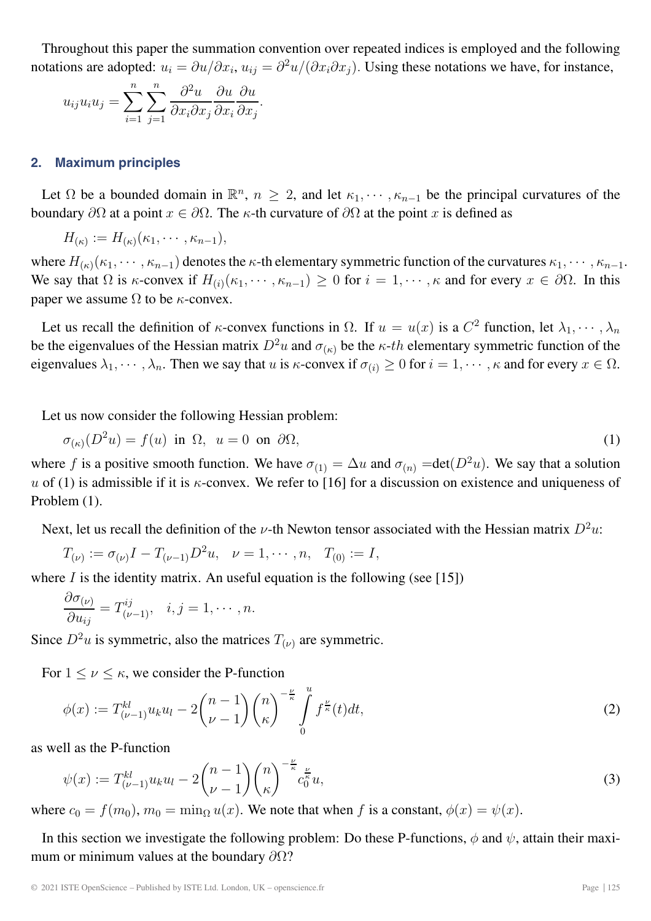Throughout this paper the summation convention over repeated indices is employed and the following notations are adopted:  $u_i = \partial u / \partial x_i$ ,  $u_{ij} = \partial^2 u / (\partial x_i \partial x_j)$ . Using these notations we have, for instance,

$$
u_{ij}u_iu_j = \sum_{i=1}^n \sum_{j=1}^n \frac{\partial^2 u}{\partial x_i \partial x_j} \frac{\partial u}{\partial x_i} \frac{\partial u}{\partial x_j}.
$$

#### **2. Maximum principles**

Let  $\Omega$  be a bounded domain in  $\mathbb{R}^n$ ,  $n \geq 2$ , and let  $\kappa_1, \dots, \kappa_{n-1}$  be the principal curvatures of the boundary  $\partial\Omega$  at a point  $x \in \partial\Omega$ . The  $\kappa$ -th curvature of  $\partial\Omega$  at the point x is defined as

 $H_{(\kappa)} := H_{(\kappa)}(\kappa_1, \cdots, \kappa_{n-1}),$ 

where  $H_{(\kappa)}(\kappa_1,\cdots,\kappa_{n-1})$  denotes the  $\kappa$ -th elementary symmetric function of the curvatures  $\kappa_1,\cdots,\kappa_{n-1}$ . We say that  $\Omega$  is  $\kappa$ -convex if  $H_{(i)}(\kappa_1, \dots, \kappa_{n-1}) \geq 0$  for  $i = 1, \dots, \kappa$  and for every  $x \in \partial \Omega$ . In this paper we assume  $\Omega$  to be  $\kappa$ -convex.

Let us recall the definition of  $\kappa$ -convex functions in  $\Omega$ . If  $u = u(x)$  is a  $C^2$  function, let  $\lambda_1, \dots, \lambda_n$ be the eigenvalues of the Hessian matrix  $D^2u$  and  $\sigma_{(\kappa)}$  be the  $\kappa$ -th elementary symmetric function of the eigenvalues  $\lambda_1, \dots, \lambda_n$ . Then we say that u is  $\kappa$ -convex if  $\sigma_{(i)} \geq 0$  for  $i = 1, \dots, \kappa$  and for every  $x \in \Omega$ .

Let us now consider the following Hessian problem:

$$
\sigma_{(\kappa)}(D^2u) = f(u) \text{ in } \Omega, \ u = 0 \text{ on } \partial\Omega,
$$
 (1)

where f is a positive smooth function. We have  $\sigma_{(1)} = \Delta u$  and  $\sigma_{(n)} = \det(D^2u)$ . We say that a solution u of (1) is admissible if it is  $\kappa$ -convex. We refer to [16] for a discussion on existence and uniqueness of Problem (1).

Next, let us recall the definition of the *ν*-th Newton tensor associated with the Hessian matrix  $D^2u$ .

$$
T_{(\nu)} := \sigma_{(\nu)}I - T_{(\nu-1)}D^2u, \quad \nu = 1, \cdots, n, \quad T_{(0)} := I,
$$

where  $I$  is the identity matrix. An useful equation is the following (see [15])

$$
\frac{\partial \sigma_{(\nu)}}{\partial u_{ij}} = T^{ij}_{(\nu-1)}, \quad i, j = 1, \cdots, n.
$$

Since  $D^2u$  is symmetric, also the matrices  $T_{(\nu)}$  are symmetric.

For  $1 \leq \nu \leq \kappa$ , we consider the P-function

$$
\phi(x) := T_{(\nu-1)}^{kl} u_k u_l - 2 \binom{n-1}{\nu-1} \binom{n}{\kappa}^{-\frac{\nu}{\kappa}} \int\limits_0^u f^{\frac{\nu}{\kappa}}(t) dt,\tag{2}
$$

as well as the P-function

$$
\psi(x) := T_{(\nu-1)}^{kl} u_k u_l - 2 \binom{n-1}{\nu-1} \binom{n}{\kappa}^{-\frac{\nu}{\kappa}} c_0^{\frac{\nu}{\kappa}} u,
$$
\n(3)

where  $c_0 = f(m_0)$ ,  $m_0 = \min_{\Omega} u(x)$ . We note that when f is a constant,  $\phi(x) = \psi(x)$ .

In this section we investigate the following problem: Do these P-functions,  $\phi$  and  $\psi$ , attain their maximum or minimum values at the boundary  $\partial\Omega$ ?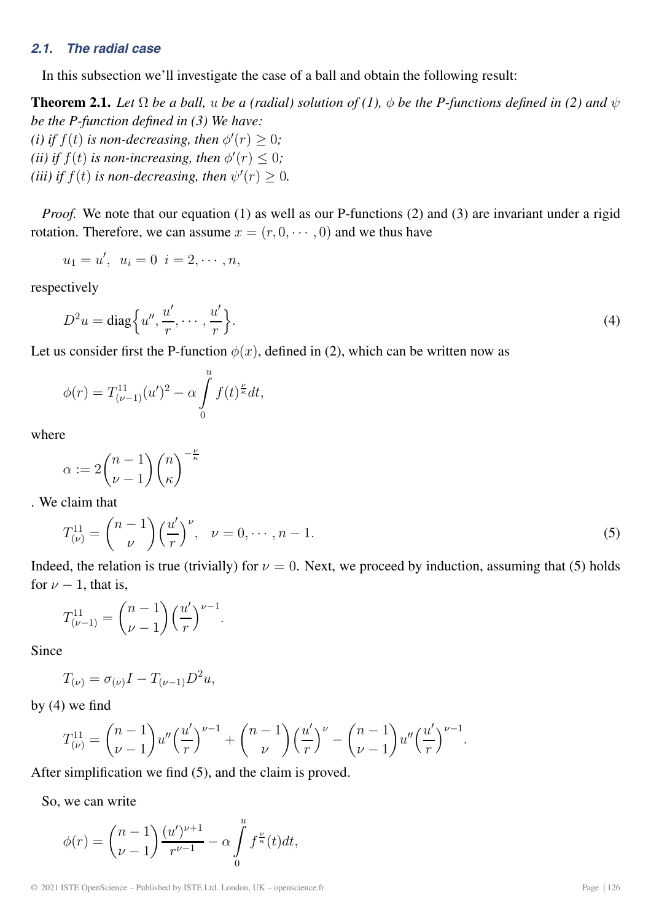# *2.1. The radial case*

In this subsection we'll investigate the case of a ball and obtain the following result:

**Theorem 2.1.** *Let*  $\Omega$  *be a ball,* u *be a (radial) solution of (1),*  $\phi$  *be the P-functions defined in (2) and*  $\psi$ *be the P-function defined in (3) We have:* (*i*) *if*  $f(t)$  *is non-decreasing, then*  $\phi'(r) \geq 0$ ;

(*ii*) if  $f(t)$  is non-increasing, then  $\phi'(r) \leq 0$ ; (*iii*) if  $f(t)$  is non-decreasing, then  $\psi'(r) \geq 0$ .

*Proof.* We note that our equation (1) as well as our P-functions (2) and (3) are invariant under a rigid rotation. Therefore, we can assume  $x = (r, 0, \dots, 0)$  and we thus have

$$
u_1 = u', \ \ u_i = 0 \ \ i = 2, \cdots, n,
$$

respectively

$$
D^2 u = \text{diag}\left\{u'', \frac{u'}{r}, \cdots, \frac{u'}{r}\right\}.
$$
\n<sup>(4)</sup>

Let us consider first the P-function  $\phi(x)$ , defined in (2), which can be written now as

$$
\phi(r) = T_{(\nu-1)}^{11}(u')^2 - \alpha \int_{0}^{u} f(t)^{\frac{\nu}{\kappa}} dt,
$$

where

$$
\alpha := 2\binom{n-1}{\nu-1}\binom{n}{\kappa}^{-\frac{\nu}{\kappa}}
$$

. We claim that

$$
T_{(\nu)}^{11} = \binom{n-1}{\nu} \left(\frac{u'}{r}\right)^{\nu}, \quad \nu = 0, \cdots, n-1. \tag{5}
$$

Indeed, the relation is true (trivially) for  $\nu = 0$ . Next, we proceed by induction, assuming that (5) holds for  $\nu - 1$ , that is,

$$
T^{11}_{(\nu-1)} = {n-1 \choose \nu-1} \left(\frac{u'}{r}\right)^{\nu-1}.
$$

Since

$$
T_{(\nu)} = \sigma_{(\nu)}I - T_{(\nu-1)}D^2u,
$$

by (4) we find

$$
T_{(\nu)}^{11} = {n-1 \choose \nu-1} u'' \left(\frac{u'}{r}\right)^{\nu-1} + {n-1 \choose \nu} \left(\frac{u'}{r}\right)^{\nu} - {n-1 \choose \nu-1} u'' \left(\frac{u'}{r}\right)^{\nu-1}.
$$

After simplification we find (5), and the claim is proved.

So, we can write

$$
\phi(r) = {n-1 \choose \nu-1} \frac{(u')^{\nu+1}}{r^{\nu-1}} - \alpha \int_{0}^{u} f^{\frac{\nu}{\kappa}}(t) dt,
$$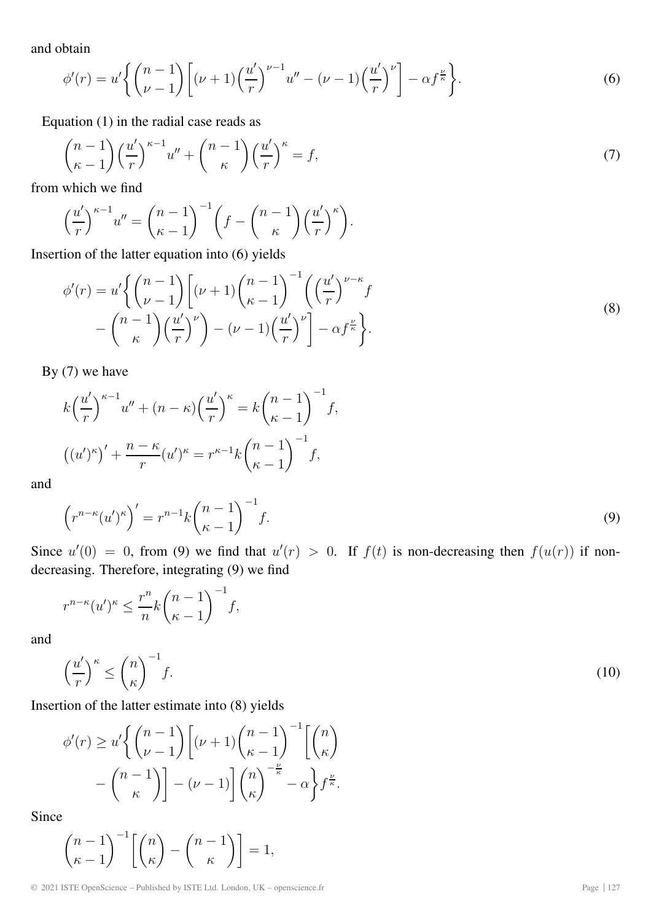and obtain

$$
\phi'(r) = u'\left\{ \binom{n-1}{\nu-1} \left[ (\nu+1)\left(\frac{u'}{r}\right)^{\nu-1} u'' - (\nu-1)\left(\frac{u'}{r}\right)^{\nu} \right] - \alpha f^{\frac{\nu}{\kappa}} \right\}.
$$
\n
$$
\tag{6}
$$

Equation (1) in the radial case reads as

$$
\binom{n-1}{\kappa-1} \left(\frac{u'}{r}\right)^{\kappa-1} u'' + \binom{n-1}{\kappa} \left(\frac{u'}{r}\right)^{\kappa} = f,\tag{7}
$$

from which we find

$$
\left(\frac{u'}{r}\right)^{\kappa-1}u'' = \binom{n-1}{\kappa-1}^{-1} \left(f - \binom{n-1}{\kappa} \left(\frac{u'}{r}\right)^{\kappa}\right).
$$

Insertion of the latter equation into (6) yields

$$
\phi'(r) = u' \left\{ \binom{n-1}{\nu-1} \left[ (\nu+1) \binom{n-1}{\kappa-1}^{-1} \left( \binom{\frac{u'}{r}^{\nu-\kappa}}{r} f - \binom{n-1}{\kappa} \binom{\frac{u'}{\nu}}{r}^{\nu} \right] - (\nu-1) \left( \frac{\frac{u'}{r} \right)^{\nu}} \right] - \alpha f^{\frac{\nu}{\kappa}} \right\}.
$$
\n(8)

By (7) we have

$$
k\left(\frac{u'}{r}\right)^{\kappa-1}u'' + (n-\kappa)\left(\frac{u'}{r}\right)^{\kappa} = k\left(\frac{n-1}{\kappa-1}\right)^{-1}f,
$$

$$
\left((u')^{\kappa}\right)' + \frac{n-\kappa}{r}(u')^{\kappa} = r^{\kappa-1}k\left(\frac{n-1}{\kappa-1}\right)^{-1}f,
$$

and

$$
\left(r^{n-\kappa}(u')^{\kappa}\right)' = r^{n-1}k\binom{n-1}{\kappa-1}^{-1}f.\tag{9}
$$

Since  $u'(0) = 0$ , from (9) we find that  $u'(r) > 0$ . If  $f(t)$  is non-decreasing then  $f(u(r))$  if nondecreasing. Therefore, integrating (9) we find

$$
r^{n-\kappa}(u')^{\kappa} \le \frac{r^n}{n} k \binom{n-1}{\kappa-1}^{-1} f,
$$

and

$$
\left(\frac{u'}{r}\right)^{\kappa} \le \binom{n}{\kappa}^{-1} f. \tag{10}
$$

Insertion of the latter estimate into (8) yields

$$
\phi'(r) \ge u' \left\{ \binom{n-1}{\nu-1} \left[ (\nu+1) \binom{n-1}{\kappa-1}^{-1} \left[ \binom{n}{\kappa} - \binom{n-1}{\kappa} \right] - \binom{n-1}{\kappa} \right] - (\nu-1) \left[ \binom{n}{\kappa}^{-\frac{\nu}{\kappa}} - \alpha \right] f^{\frac{\nu}{\kappa}}.
$$

Since

$$
\binom{n-1}{\kappa-1}^{-1} \left[ \binom{n}{\kappa} - \binom{n-1}{\kappa} \right] = 1,
$$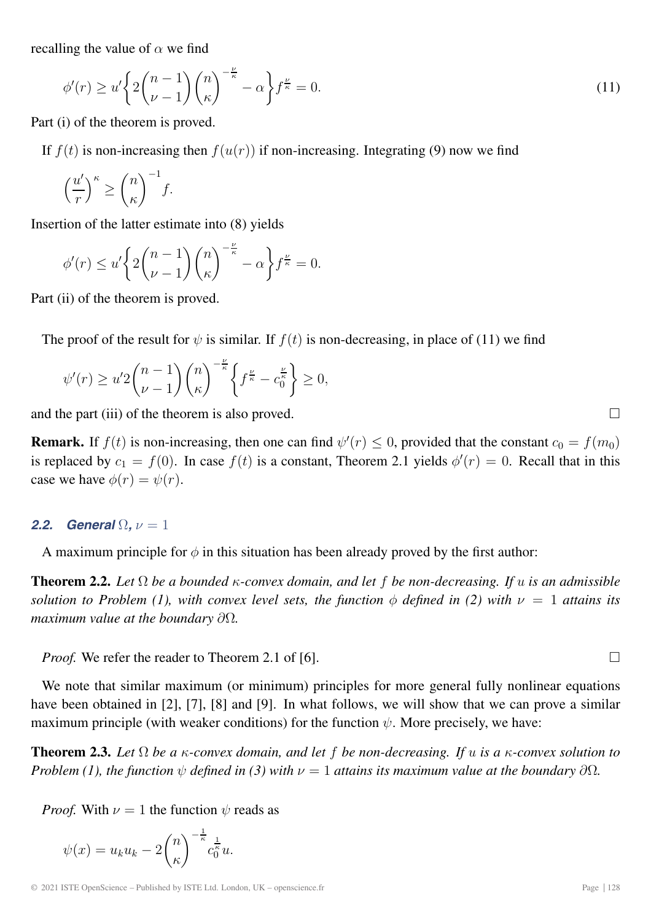recalling the value of  $\alpha$  we find

$$
\phi'(r) \ge u' \left\{ 2\binom{n-1}{\nu-1} \binom{n}{\kappa}^{-\frac{\nu}{\kappa}} - \alpha \right\} f^{\frac{\nu}{\kappa}} = 0. \tag{11}
$$

Part (i) of the theorem is proved.

If  $f(t)$  is non-increasing then  $f(u(r))$  if non-increasing. Integrating (9) now we find

$$
\left(\frac{u'}{r}\right)^{\kappa} \ge \binom{n}{\kappa}^{-1}f.
$$

Insertion of the latter estimate into (8) yields

$$
\phi'(r) \le u' \bigg\{ 2\binom{n-1}{\nu-1} \binom{n}{\kappa}^{-\frac{\nu}{\kappa}} - \alpha \bigg\} f^{\frac{\nu}{\kappa}} = 0.
$$

Part (ii) of the theorem is proved.

The proof of the result for  $\psi$  is similar. If  $f(t)$  is non-decreasing, in place of (11) we find

$$
\psi'(r) \ge u' 2 \binom{n-1}{\nu-1} \binom{n}{\kappa}^{-\frac{\nu}{\kappa}} \left\{ f^{\frac{\nu}{\kappa}} - c_0^{\frac{\nu}{\kappa}} \right\} \ge 0,
$$

and the part (iii) of the theorem is also proved.  $\Box$ 

**Remark.** If  $f(t)$  is non-increasing, then one can find  $\psi'(r) \leq 0$ , provided that the constant  $c_0 = f(m_0)$ is replaced by  $c_1 = f(0)$ . In case  $f(t)$  is a constant, Theorem 2.1 yields  $\phi'(r) = 0$ . Recall that in this case we have  $\phi(r) = \psi(r)$ .

#### **2.2.** General  $\Omega$ ,  $\nu = 1$

A maximum principle for  $\phi$  in this situation has been already proved by the first author:

**Theorem 2.2.** *Let* Ω *be a bounded* κ*-convex domain, and let* f *be non-decreasing. If* u *is an admissible solution to Problem (1), with convex level sets, the function*  $\phi$  *defined in (2) with*  $\nu = 1$  *attains its maximum value at the boundary* ∂Ω*.*

*Proof.* We refer the reader to Theorem 2.1 of [6].  $\Box$ 

We note that similar maximum (or minimum) principles for more general fully nonlinear equations have been obtained in [2], [7], [8] and [9]. In what follows, we will show that we can prove a similar maximum principle (with weaker conditions) for the function  $\psi$ . More precisely, we have:

**Theorem 2.3.** *Let* Ω *be a* κ*-convex domain, and let* f *be non-decreasing. If* u *is a* κ*-convex solution to Problem (1), the function*  $\psi$  *defined in (3) with*  $\nu = 1$  *attains its maximum value at the boundary*  $\partial\Omega$ *.* 

*Proof.* With  $\nu = 1$  the function  $\psi$  reads as

$$
\psi(x) = u_k u_k - 2\binom{n}{\kappa}^{-\frac{1}{\kappa}} c_0^{\frac{1}{\kappa}} u.
$$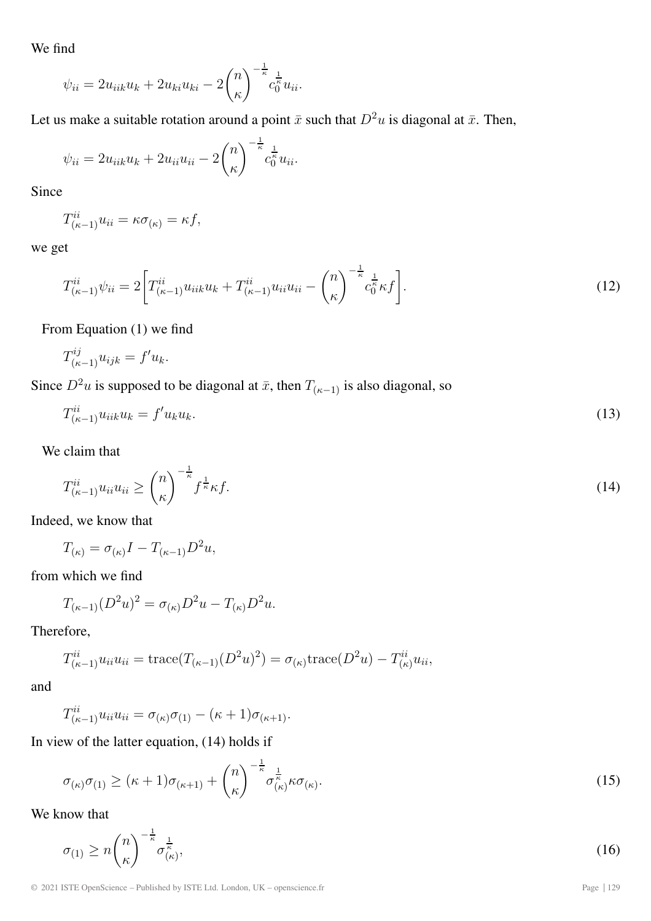We find

$$
\psi_{ii} = 2u_{iik}u_k + 2u_{ki}u_{ki} - 2\binom{n}{\kappa}^{-\frac{1}{\kappa}}c_0^{\frac{1}{\kappa}}u_{ii}.
$$

Let us make a suitable rotation around a point  $\bar{x}$  such that  $D^2u$  is diagonal at  $\bar{x}$ . Then,

$$
\psi_{ii} = 2u_{iik}u_k + 2u_{ii}u_{ii} - 2\binom{n}{\kappa}^{-\frac{1}{\kappa}}c_0^{\frac{1}{\kappa}}u_{ii}.
$$

Since

$$
T_{(\kappa-1)}^{ii}u_{ii} = \kappa \sigma_{(\kappa)} = \kappa f,
$$

we get

$$
T_{(\kappa-1)}^{ii}\psi_{ii} = 2\bigg[T_{(\kappa-1)}^{ii}u_{iik}u_k + T_{(\kappa-1)}^{ii}u_{ii}u_{ii} - \binom{n}{\kappa}^{-\frac{1}{\kappa}}c_0^{\frac{1}{\kappa}}\kappa f\bigg].\tag{12}
$$

From Equation (1) we find

$$
T^{ij}_{(\kappa-1)}u_{ijk} = f'u_k.
$$

Since  $D^2u$  is supposed to be diagonal at  $\bar{x}$ , then  $T_{(\kappa-1)}$  is also diagonal, so

$$
T_{(\kappa-1)}^{ii}u_{iik}u_k = f'u_ku_k. \tag{13}
$$

We claim that

$$
T_{(\kappa-1)}^{ii}u_{ii}u_{ii} \ge \binom{n}{\kappa}^{-\frac{1}{\kappa}}f^{\frac{1}{\kappa}}\kappa f. \tag{14}
$$

Indeed, we know that

$$
T_{(\kappa)} = \sigma_{(\kappa)}I - T_{(\kappa-1)}D^2u,
$$

from which we find

$$
T_{(\kappa-1)}(D^2u)^2 = \sigma_{(\kappa)}D^2u - T_{(\kappa)}D^2u.
$$

Therefore,

$$
T_{(\kappa-1)}^{ii} u_{ii} u_{ii} = \text{trace}(T_{(\kappa-1)}(D^2 u)^2) = \sigma_{(\kappa)} \text{trace}(D^2 u) - T_{(\kappa)}^{ii} u_{ii},
$$

and

$$
T_{(\kappa-1)}^{ii}u_{ii}u_{ii} = \sigma_{(\kappa)}\sigma_{(1)} - (\kappa+1)\sigma_{(\kappa+1)}.
$$

In view of the latter equation, (14) holds if

$$
\sigma_{(\kappa)}\sigma_{(1)} \geq (\kappa+1)\sigma_{(\kappa+1)} + {n \choose \kappa}^{-\frac{1}{\kappa}} \sigma^{\frac{1}{\kappa}}_{(\kappa)} \kappa \sigma_{(\kappa)}.
$$
\n(15)

We know that

$$
\sigma_{(1)} \ge n \binom{n}{\kappa}^{-\frac{1}{\kappa}} \sigma_{(\kappa)}^{\frac{1}{\kappa}},\tag{16}
$$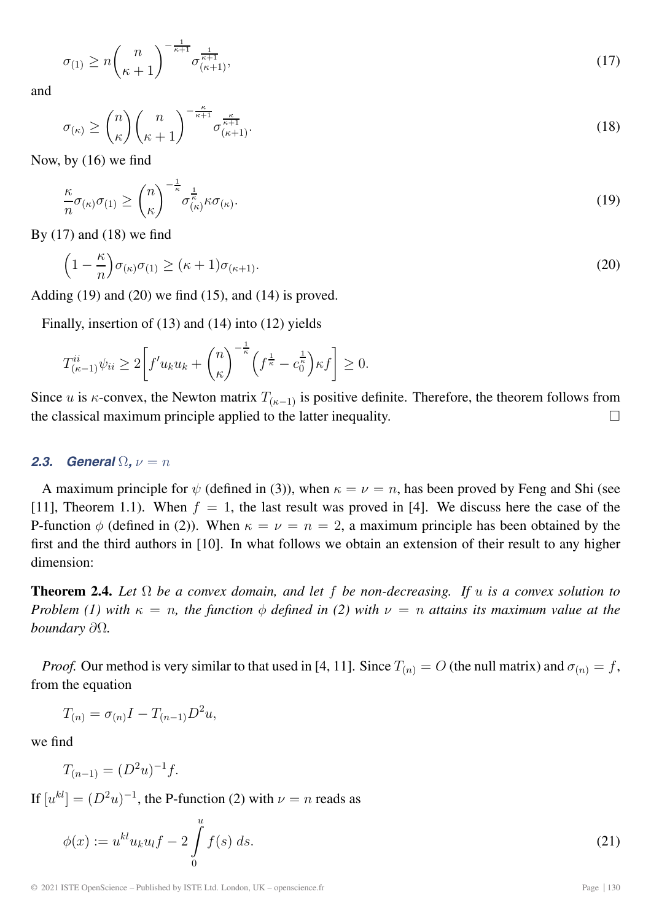$$
\sigma_{(1)} \ge n \binom{n}{\kappa+1}^{-\frac{1}{\kappa+1}} \sigma_{(\kappa+1)}^{\frac{1}{\kappa+1}},\tag{17}
$$

and

$$
\sigma_{(\kappa)} \ge \binom{n}{\kappa} \binom{n}{\kappa+1}^{-\frac{\kappa}{\kappa+1}} \sigma_{(\kappa+1)}^{\frac{\kappa}{\kappa+1}}.\tag{18}
$$

Now, by (16) we find

$$
\frac{\kappa}{n}\sigma_{(\kappa)}\sigma_{(1)} \ge \binom{n}{\kappa}^{-\frac{1}{\kappa}}\sigma^{\frac{1}{\kappa}}_{(\kappa)}\kappa\sigma_{(\kappa)}.
$$
\n(19)

By  $(17)$  and  $(18)$  we find

$$
\left(1 - \frac{\kappa}{n}\right)\sigma_{(\kappa)}\sigma_{(1)} \ge (\kappa + 1)\sigma_{(\kappa + 1)}.\tag{20}
$$

Adding  $(19)$  and  $(20)$  we find  $(15)$ , and  $(14)$  is proved.

Finally, insertion of (13) and (14) into (12) yields

$$
T_{(\kappa-1)}^{ii}\psi_{ii} \ge 2\bigg[f'u_ku_k + \binom{n}{\kappa}^{-\frac{1}{\kappa}}\left(f^{\frac{1}{\kappa}} - c_0^{\frac{1}{\kappa}}\right)\kappa f\bigg] \ge 0.
$$

Since u is κ-convex, the Newton matrix  $T_{(\kappa-1)}$  is positive definite. Therefore, the theorem follows from the classical maximum principle applied to the latter inequality. the classical maximum principle applied to the latter inequality.

#### **2.3.** General  $\Omega$ ,  $\nu = n$

A maximum principle for  $\psi$  (defined in (3)), when  $\kappa = \nu = n$ , has been proved by Feng and Shi (see [11], Theorem 1.1). When  $f = 1$ , the last result was proved in [4]. We discuss here the case of the P-function  $\phi$  (defined in (2)). When  $\kappa = \nu = n = 2$ , a maximum principle has been obtained by the first and the third authors in [10]. In what follows we obtain an extension of their result to any higher dimension:

**Theorem 2.4.** *Let* Ω *be a convex domain, and let* f *be non-decreasing. If* u *is a convex solution to Problem (1) with*  $\kappa = n$ , the function  $\phi$  *defined in (2) with*  $\nu = n$  *attains its maximum value at the boundary* ∂Ω*.*

*Proof.* Our method is very similar to that used in [4, 11]. Since  $T_{(n)} = O$  (the null matrix) and  $\sigma_{(n)} = f$ , from the equation

$$
T_{(n)} = \sigma_{(n)}I - T_{(n-1)}D^2u,
$$

we find

$$
T_{(n-1)} = (D^2 u)^{-1} f.
$$

If  $[u^{kl}]=(D^2u)^{-1}$ , the P-function (2) with  $\nu = n$  reads as

$$
\phi(x) := u^{kl} u_k u_l f - 2 \int_0^u f(s) \, ds. \tag{21}
$$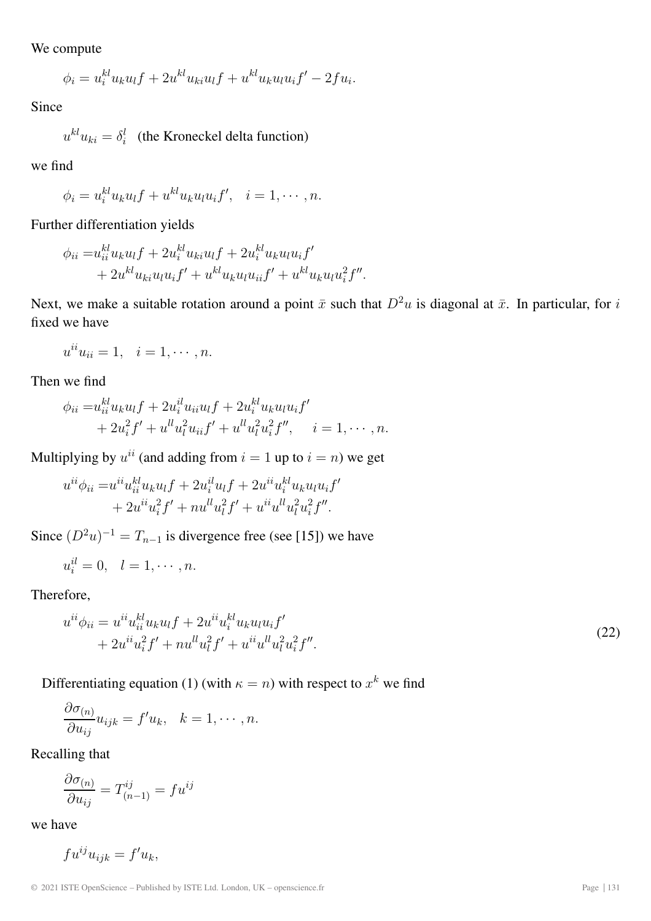We compute

$$
\phi_i = u_i^{kl} u_k u_l f + 2u^{kl} u_{ki} u_l f + u^{kl} u_k u_l u_i f' - 2f u_i.
$$

Since

 $u^{kl}u_{ki} = \delta_i^l$  (the Kroneckel delta function)

we find

$$
\phi_i = u_i^{kl} u_k u_l f + u^{kl} u_k u_l u_i f', \quad i = 1, \cdots, n.
$$

Further differentiation yields

$$
\phi_{ii} = u_{ii}^{kl} u_k u_l f + 2 u_i^{kl} u_{ki} u_l f + 2 u_i^{kl} u_k u_l u_i f' + 2 u^{kl} u_{ki} u_l u_i f' + u^{kl} u_k u_l u_{ii} f' + u^{kl} u_k u_l u_i^2 f''.
$$

Next, we make a suitable rotation around a point  $\bar{x}$  such that  $D^2u$  is diagonal at  $\bar{x}$ . In particular, for i fixed we have

$$
u^{ii}u_{ii}=1, \quad i=1,\cdots,n.
$$

Then we find

$$
\phi_{ii} = u_{ii}^{kl} u_k u_l f + 2u_i^{il} u_{ii} u_l f + 2u_i^{kl} u_k u_l u_i f' + 2u_i^2 f' + u^{ll} u_l^2 u_{ii} f' + u^{ll} u_l^2 u_i^2 f'', \quad i = 1, \cdots, n.
$$

Multiplying by  $u^{ii}$  (and adding from  $i = 1$  up to  $i = n$ ) we get

$$
u^{ii}\phi_{ii} = u^{ii}u_{ii}^{kl}u_{k}u_{l}f + 2u_{i}^{il}u_{l}f + 2u^{ii}u_{i}^{kl}u_{k}u_{l}u_{i}f' + 2u^{ii}u_{i}^{2}f' + nu^{ll}u_{l}^{2}f' + u^{ii}u^{ll}u_{l}^{2}u_{i}^{2}f''.
$$

Since  $(D<sup>2</sup>u)<sup>-1</sup> = T<sub>n-1</sub>$  is divergence free (see [15]) we have

$$
u_i^{il} = 0, \quad l = 1, \cdots, n.
$$

Therefore,

$$
u^{ii}\phi_{ii} = u^{ii}u_{ii}^{kl}u_{k}u_{l}f + 2u^{ii}u_{i}^{kl}u_{k}u_{l}u_{l}f'
$$
  
+ 
$$
2u^{ii}u_{i}^{2}f' + nu^{ll}u_{l}^{2}f' + u^{ii}u^{ll}u_{l}^{2}u_{i}^{2}f''.
$$
 (22)

Differentiating equation (1) (with  $\kappa = n$ ) with respect to  $x^k$  we find

$$
\frac{\partial \sigma_{(n)}}{\partial u_{ij}} u_{ijk} = f' u_k, \quad k = 1, \cdots, n.
$$

Recalling that

$$
\frac{\partial \sigma_{(n)}}{\partial u_{ij}} = T_{(n-1)}^{ij} = f u^{ij}
$$

we have

$$
fu^{ij}u_{ijk} = f'u_k,
$$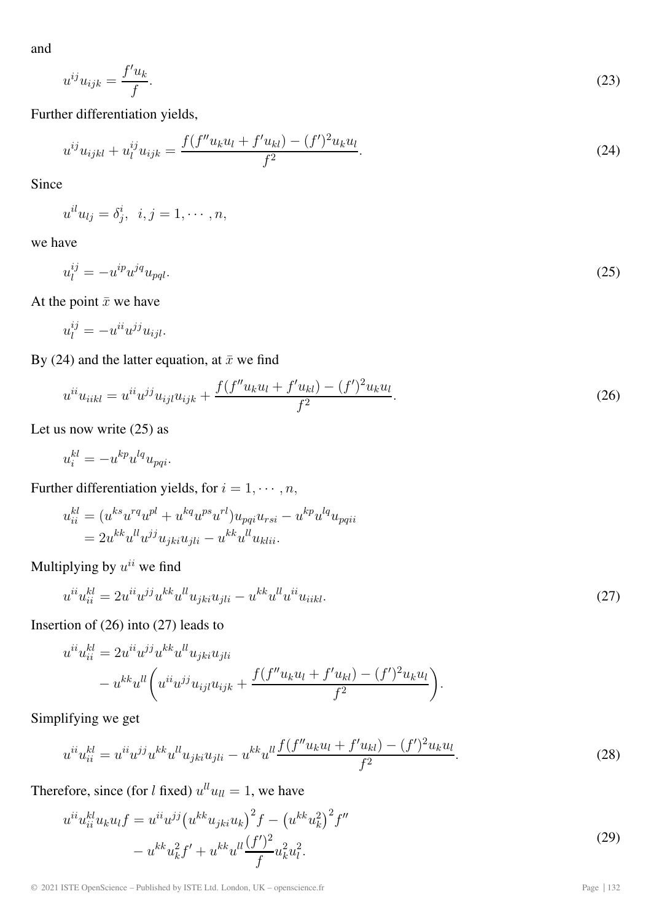and

$$
u^{ij}u_{ijk} = \frac{f'u_k}{f}.\tag{23}
$$

Further differentiation yields,

$$
u^{ij}u_{ijkl} + u_l^{ij}u_{ijk} = \frac{f(f''u_ku_l + f'u_{kl}) - (f')^2u_ku_l}{f^2}.
$$
\n(24)

Since

 $u^{il}u_{lj} = \delta^i_j, \ \ i,j = 1, \cdots, n,$ 

we have

$$
u_l^{ij} = -u^{ip}u^{jq}u_{pql}.\tag{25}
$$

At the point  $\bar{x}$  we have

$$
u_l^{ij} = -u^{ii} u^{jj} u_{ijl}.
$$

By (24) and the latter equation, at  $\bar{x}$  we find

$$
u^{ii}u_{iikl} = u^{ii}u^{jj}u_{ijl}u_{ijk} + \frac{f(f''u_{k}u_{l} + f'u_{kl}) - (f')^{2}u_{k}u_{l}}{f^{2}}.
$$
\n(26)

Let us now write  $(25)$  as

$$
u_i^{kl} = -u^{kp}u^{lq}u_{pqi}.
$$

Further differentiation yields, for  $i = 1, \cdots, n$ ,

$$
u_{ii}^{kl} = (u^{ks}u^{rq}u^{pl} + u^{kq}u^{ps}u^{rl})u_{pqi}u_{rsi} - u^{kp}u^{lq}u_{pqii}
$$
  
= 
$$
2u^{kk}u^{ll}u^{jj}u_{jki}u_{jli} - u^{kk}u^{ll}u_{klii}.
$$

Multiplying by  $u^{ii}$  we find

$$
u^{ii}u_{ii}^{kl} = 2u^{ii}u^{jj}u^{kk}u^{ll}u_{jki}u_{jli} - u^{kk}u^{ll}u^{ii}u_{iikl}.
$$
\n(27)

Insertion of (26) into (27) leads to

$$
u^{ii}u_{ii}^{kl} = 2u^{ii}u^{jj}u^{kk}u^{ll}u_{jki}u_{jli}
$$
  
- 
$$
u^{kk}u^{ll}\left(u^{ii}u^{jj}u_{ijl}u_{ijk} + \frac{f(f''u_{k}u_{l} + f'u_{kl}) - (f')^{2}u_{k}u_{l}}{f^{2}}\right).
$$

Simplifying we get

$$
u^{ii}u_{ii}^{kl} = u^{ii}u^{jj}u^{kk}u^{ll}u_{jki}u_{jli} - u^{kk}u^{ll}\frac{f(f''u_{k}u_{l} + f'u_{kl}) - (f')^{2}u_{k}u_{l}}{f^{2}}.
$$
\n(28)

Therefore, since (for l fixed)  $u^{ll}u_{ll} = 1$ , we have

$$
u^{ii}u_{ii}^{kl}u_{k}u_{l}f = u^{ii}u^{jj}(u^{kk}u_{jki}u_{k})^{2}f - (u^{kk}u_{k}^{2})^{2}f'' - u^{kk}u_{k}^{2}f' + u^{kk}u^{ll}\frac{(f')^{2}}{f}u_{k}^{2}u_{l}^{2}.
$$
\n(29)

© 2021 ISTE OpenScience – Published by ISTE Ltd. London, UK – openscience.fr Page | 132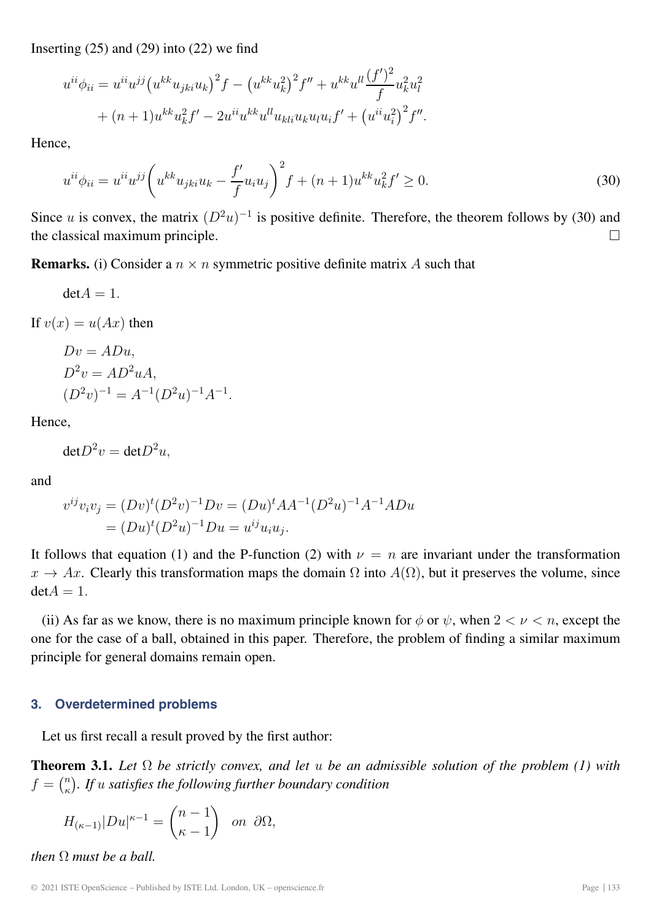Inserting  $(25)$  and  $(29)$  into  $(22)$  we find

$$
u^{ii}\phi_{ii} = u^{ii}u^{jj}(u^{kk}u_{jki}u_k)^2 f - (u^{kk}u_k^2)^2 f'' + u^{kk}u^{ll}\frac{(f')^2}{f}u_k^2u_l^2
$$
  
+ 
$$
(n+1)u^{kk}u_k^2 f' - 2u^{ii}u^{kk}u^{ll}u_{kli}u_ku_lu_i f' + (u^{ii}u_i^2)^2 f''.
$$

Hence,

$$
u^{ii}\phi_{ii} = u^{ii}u^{jj}\left(u^{kk}u_{jki}u_k - \frac{f'}{f}u_iu_j\right)^2 f + (n+1)u^{kk}u_k^2 f' \ge 0.
$$
\n(30)

Since u is convex, the matrix  $(D^2u)^{-1}$  is positive definite. Therefore, the theorem follows by (30) and the classical maximum principle.  $\Box$ 

**Remarks.** (i) Consider a  $n \times n$  symmetric positive definite matrix A such that

 $det A = 1.$ 

If  $v(x) = u(Ax)$  then

$$
Dv = ADu,
$$
  
\n
$$
D^{2}v = AD^{2}uA,
$$
  
\n
$$
(D^{2}v)^{-1} = A^{-1}(D^{2}u)^{-1}A^{-1}
$$

Hence,

 $det D^2 v = det D^2 u,$ 

and

$$
v^{ij}v_iv_j = (Dv)^t(D^2v)^{-1}Dv = (Du)^tAA^{-1}(D^2u)^{-1}A^{-1}ADu
$$
  
= 
$$
(Du)^t(D^2u)^{-1}Du = u^{ij}u_iu_j.
$$

.

It follows that equation (1) and the P-function (2) with  $\nu = n$  are invariant under the transformation  $x \to Ax$ . Clearly this transformation maps the domain  $\Omega$  into  $A(\Omega)$ , but it preserves the volume, since  $det A = 1.$ 

(ii) As far as we know, there is no maximum principle known for  $\phi$  or  $\psi$ , when  $2 < \nu < n$ , except the one for the case of a ball, obtained in this paper. Therefore, the problem of finding a similar maximum principle for general domains remain open.

#### **3. Overdetermined problems**

Let us first recall a result proved by the first author:

**Theorem 3.1.** *Let* Ω *be strictly convex, and let* u *be an admissible solution of the problem (1) with*  $f = {n \choose \kappa}$ . If u satisfies the following further boundary condition

$$
H_{(\kappa-1)}|Du|^{\kappa-1} = \binom{n-1}{\kappa-1} \quad \text{on } \partial\Omega,
$$

*then*  $\Omega$  *must be a ball.*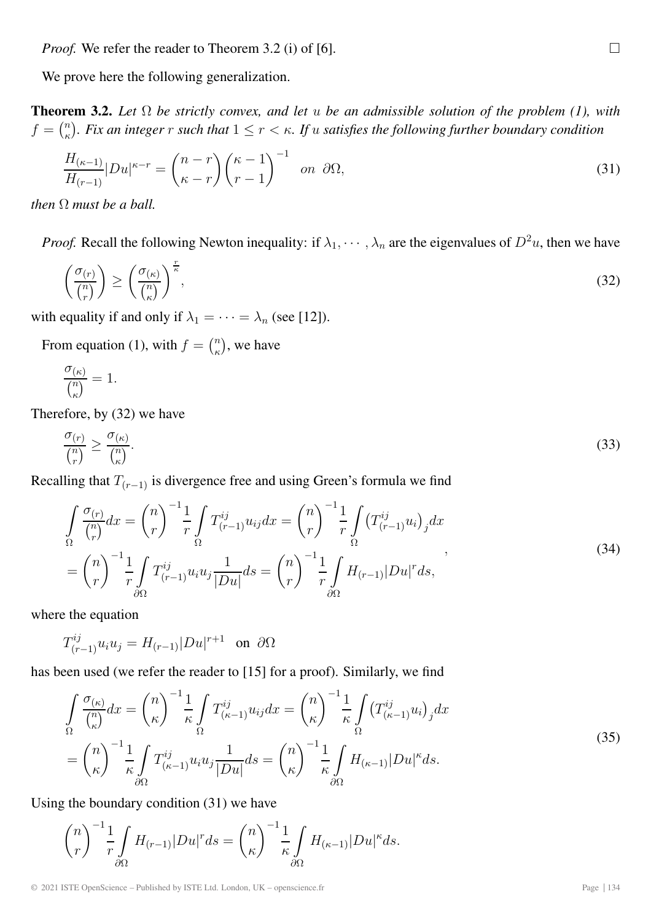*Proof.* We refer the reader to Theorem 3.2 (i) of [6].  $\Box$ 

We prove here the following generalization.

**Theorem 3.2.** *Let* Ω *be strictly convex, and let* u *be an admissible solution of the problem (1), with*  $f = {n \choose \kappa}$ . Fix an integer  $r$  such that  $1 \leq r < \kappa$ . If u satisfies the following further boundary condition

$$
\frac{H_{(\kappa-1)}}{H_{(r-1)}}|Du|^{\kappa-r} = \binom{n-r}{\kappa-r}\binom{\kappa-1}{r-1}^{-1} \quad \text{on } \partial\Omega,
$$
\n(31)

*then*  $\Omega$  *must be a ball.* 

*Proof.* Recall the following Newton inequality: if  $\lambda_1, \dots, \lambda_n$  are the eigenvalues of  $D^2u$ , then we have

$$
\left(\frac{\sigma_{(r)}}{\binom{n}{r}}\right) \ge \left(\frac{\sigma_{(\kappa)}}{\binom{n}{\kappa}}\right)^{\frac{r}{\kappa}},\tag{32}
$$

with equality if and only if  $\lambda_1 = \cdots = \lambda_n$  (see [12]).

From equation (1), with  $f = \binom{n}{\kappa}$ , we have

$$
\frac{\sigma_{(\kappa)}}{\binom{n}{\kappa}} = 1.
$$

Therefore, by (32) we have

$$
\frac{\sigma_{(r)}}{\binom{n}{r}} \ge \frac{\sigma_{(\kappa)}}{\binom{n}{\kappa}}.\tag{33}
$$

Recalling that  $T_{(r-1)}$  is divergence free and using Green's formula we find

$$
\int_{\Omega} \frac{\sigma_{(r)}}{\binom{n}{r}} dx = \binom{n}{r}^{-1} \frac{1}{r} \int_{\Omega} T_{(r-1)}^{ij} u_{ij} dx = \binom{n}{r}^{-1} \frac{1}{r} \int_{\Omega} \left( T_{(r-1)}^{ij} u_i \right)_j dx
$$
\n
$$
= \binom{n}{r}^{-1} \frac{1}{r} \int_{\partial \Omega} T_{(r-1)}^{ij} u_i u_j \frac{1}{|Du|} ds = \binom{n}{r}^{-1} \frac{1}{r} \int_{\partial \Omega} H_{(r-1)} |Du|^r ds,
$$
\n(34)

where the equation

$$
T^{ij}_{(r-1)}u_iu_j = H_{(r-1)}|Du|^{r+1} \text{ on } \partial\Omega
$$

has been used (we refer the reader to [15] for a proof). Similarly, we find

$$
\int_{\Omega} \frac{\sigma_{(\kappa)}}{\binom{n}{\kappa}} dx = \binom{n}{\kappa}^{-1} \frac{1}{\kappa} \int_{\Omega} T_{(\kappa-1)}^{ij} u_{ij} dx = \binom{n}{\kappa}^{-1} \frac{1}{\kappa} \int_{\Omega} \left( T_{(\kappa-1)}^{ij} u_i \right)_j dx
$$
\n
$$
= \binom{n}{\kappa}^{-1} \frac{1}{\kappa} \int_{\partial \Omega} T_{(\kappa-1)}^{ij} u_i u_j \frac{1}{|Du|} ds = \binom{n}{\kappa}^{-1} \frac{1}{\kappa} \int_{\partial \Omega} H_{(\kappa-1)} |Du|^{\kappa} ds. \tag{35}
$$

Using the boundary condition (31) we have

$$
{\binom{n}{r}}^{-1} \frac{1}{r} \int_{\partial\Omega} H_{(r-1)} |Du|^r ds = {\binom{n}{\kappa}}^{-1} \frac{1}{\kappa} \int_{\partial\Omega} H_{(\kappa-1)} |Du|^{\kappa} ds.
$$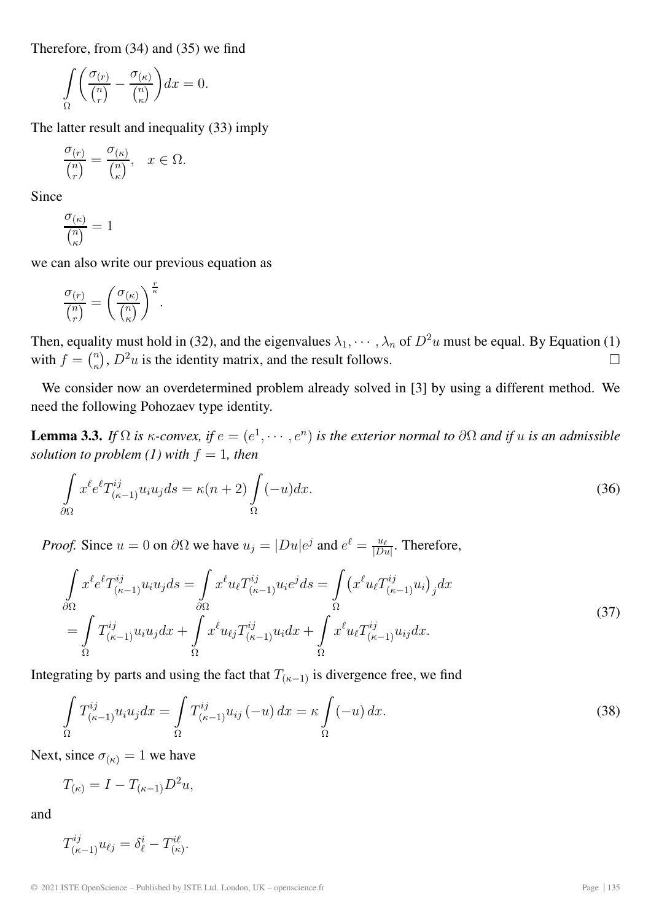Therefore, from (34) and (35) we find

$$
\int_{\Omega} \left( \frac{\sigma_{(r)}}{\binom{n}{r}} - \frac{\sigma_{(\kappa)}}{\binom{n}{\kappa}} \right) dx = 0.
$$

The latter result and inequality (33) imply

$$
\frac{\sigma_{(r)}}{\binom{n}{r}} = \frac{\sigma_{(\kappa)}}{\binom{n}{\kappa}}, \quad x \in \Omega.
$$

Since

$$
\frac{\sigma_{(\kappa)}}{\binom{n}{\kappa}} = 1
$$

we can also write our previous equation as

$$
\frac{\sigma_{(r)}}{\binom{n}{r}}=\left(\frac{\sigma_{(\kappa)}}{\binom{n}{\kappa}}\right)^{\frac{r}{\kappa}}.
$$

Then, equality must hold in (32), and the eigenvalues  $\lambda_1, \dots, \lambda_n$  of  $D^2u$  must be equal. By Equation (1) with  $f = \binom{n}{\kappa}$ ,  $D^2 u$  is the identity matrix, and the result follows.  $\Box$ 

We consider now an overdetermined problem already solved in [3] by using a different method. We need the following Pohozaev type identity.

**Lemma 3.3.** *If*  $\Omega$  *is*  $\kappa$ *-convex, if*  $e = (e^1, \dots, e^n)$  *is the exterior normal to*  $\partial \Omega$  *and if u is an admissible solution to problem (1) with*  $f = 1$ *, then* 

$$
\int_{\partial\Omega} x^{\ell} e^{\ell} T^{ij}_{(\kappa-1)} u_i u_j ds = \kappa (n+2) \int_{\Omega} (-u) dx.
$$
\n(36)

*Proof.* Since  $u = 0$  on  $\partial\Omega$  we have  $u_j = |Du|e^j$  and  $e^{\ell} = \frac{u_{\ell}}{|Du|}$ . Therefore,

$$
\int_{\partial\Omega} x^{\ell} e^{\ell} T^{ij}_{(\kappa-1)} u_i u_j ds = \int_{\partial\Omega} x^{\ell} u_{\ell} T^{ij}_{(\kappa-1)} u_i e^j ds = \int_{\Omega} (x^{\ell} u_{\ell} T^{ij}_{(\kappa-1)} u_i)_{j} dx \n= \int_{\Omega} T^{ij}_{(\kappa-1)} u_i u_j dx + \int_{\Omega} x^{\ell} u_{\ell} T^{ij}_{(\kappa-1)} u_i dx + \int_{\Omega} x^{\ell} u_{\ell} T^{ij}_{(\kappa-1)} u_{ij} dx.
$$
\n(37)

Integrating by parts and using the fact that  $T_{(\kappa-1)}$  is divergence free, we find

$$
\int_{\Omega} T_{(\kappa-1)}^{ij} u_i u_j dx = \int_{\Omega} T_{(\kappa-1)}^{ij} u_{ij} (-u) dx = \kappa \int_{\Omega} (-u) dx.
$$
\n(38)

Next, since  $\sigma_{(\kappa)} = 1$  we have

$$
T_{(\kappa)} = I - T_{(\kappa-1)} D^2 u,
$$

and

$$
T^{ij}_{(\kappa-1)}u_{\ell j}=\delta^i_{\ell}-T^{i\ell}_{(\kappa)}.
$$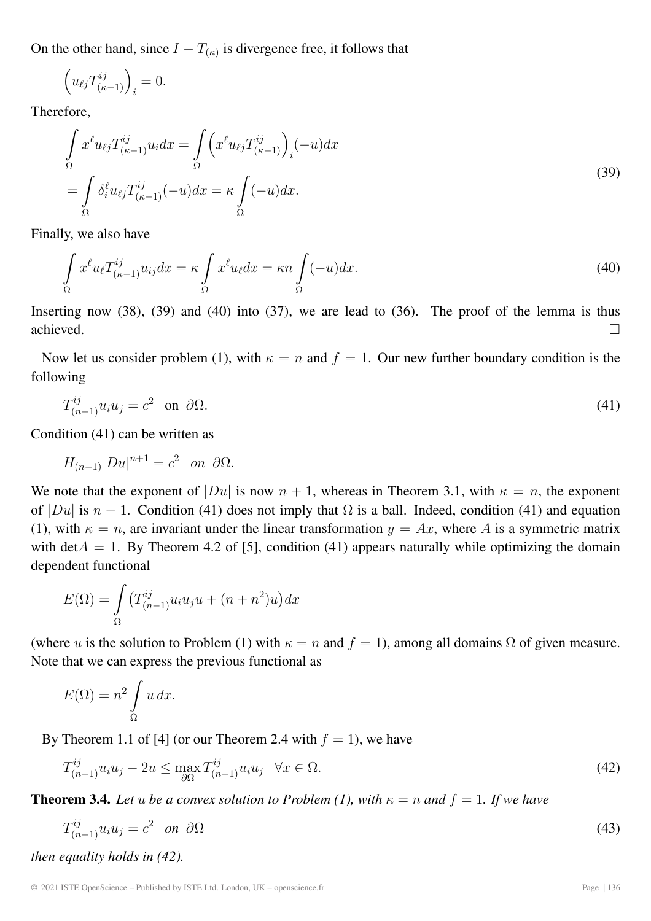On the other hand, since  $I - T_{(\kappa)}$  is divergence free, it follows that

$$
\Big(u_{\ell j} T^{ij}_{(\kappa-1)}\Big)_i = 0.
$$

Therefore,

$$
\int_{\Omega} x^{\ell} u_{\ell j} T_{(\kappa-1)}^{ij} u_i dx = \int_{\Omega} \left( x^{\ell} u_{\ell j} T_{(\kappa-1)}^{ij} \right)_i (-u) dx
$$
\n
$$
= \int_{\Omega} \delta_i^{\ell} u_{\ell j} T_{(\kappa-1)}^{ij} (-u) dx = \kappa \int_{\Omega} (-u) dx.
$$
\n(39)

Finally, we also have

$$
\int_{\Omega} x^{\ell} u_{\ell} T^{ij}_{(\kappa - 1)} u_{ij} dx = \kappa \int_{\Omega} x^{\ell} u_{\ell} dx = \kappa n \int_{\Omega} (-u) dx.
$$
\n(40)

Inserting now (38), (39) and (40) into (37), we are lead to (36). The proof of the lemma is thus achieved.  $\Box$ 

Now let us consider problem (1), with  $\kappa = n$  and  $f = 1$ . Our new further boundary condition is the following

$$
T_{(n-1)}^{ij}u_iu_j=c^2 \quad \text{on} \quad \partial\Omega. \tag{41}
$$

Condition (41) can be written as

$$
H_{(n-1)}|Du|^{n+1}=c^2 \quad \text{on} \ \ \partial\Omega.
$$

We note that the exponent of  $|Du|$  is now  $n + 1$ , whereas in Theorem 3.1, with  $\kappa = n$ , the exponent of  $|Du|$  is  $n-1$ . Condition (41) does not imply that  $\Omega$  is a ball. Indeed, condition (41) and equation (1), with  $\kappa = n$ , are invariant under the linear transformation  $y = Ax$ , where A is a symmetric matrix with det $A = 1$ . By Theorem 4.2 of [5], condition (41) appears naturally while optimizing the domain dependent functional

$$
E(\Omega) = \int_{\Omega} \left( T_{(n-1)}^{ij} u_i u_j u + (n+n^2) u \right) dx
$$

(where u is the solution to Problem (1) with  $\kappa = n$  and  $f = 1$ ), among all domains  $\Omega$  of given measure. Note that we can express the previous functional as

$$
E(\Omega) = n^2 \int_{\Omega} u \, dx.
$$

By Theorem 1.1 of [4] (or our Theorem 2.4 with  $f = 1$ ), we have

$$
T_{(n-1)}^{ij}u_iu_j - 2u \le \max_{\partial\Omega} T_{(n-1)}^{ij}u_iu_j \quad \forall x \in \Omega.
$$
\n(42)

**Theorem 3.4.** Let u be a convex solution to Problem (1), with  $\kappa = n$  and  $f = 1$ . If we have

$$
T_{(n-1)}^{ij}u_iu_j=c^2 \quad on \quad \partial\Omega
$$
\n(43)

*then equality holds in (42).*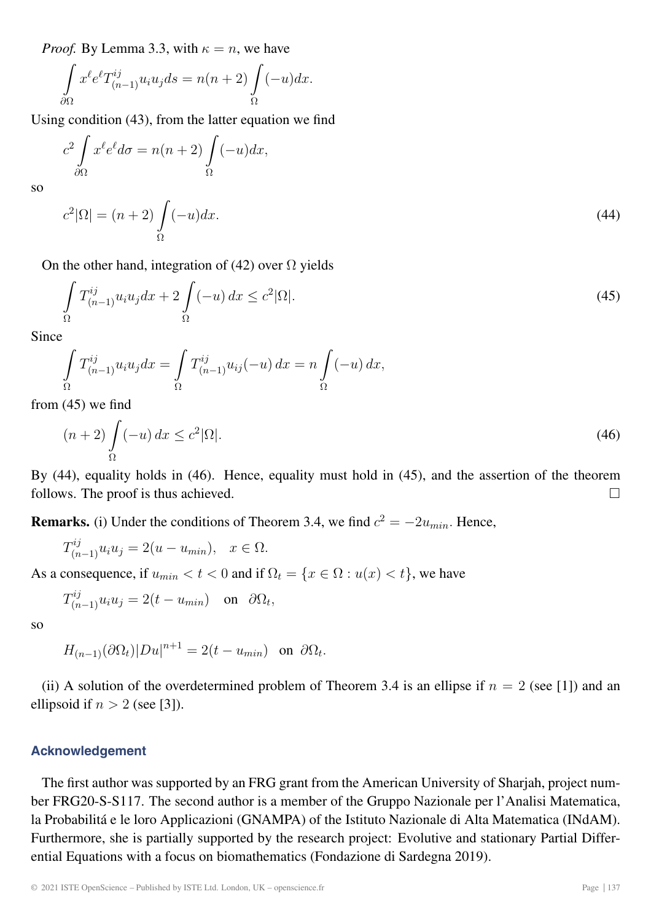*Proof.* By Lemma 3.3, with  $\kappa = n$ , we have

$$
\int_{\partial\Omega} x^{\ell} e^{\ell} T_{(n-1)}^{ij} u_i u_j ds = n(n+2) \int_{\Omega} (-u) dx.
$$

Using condition (43), from the latter equation we find

$$
c^2 \int_{\partial \Omega} x^{\ell} e^{\ell} d\sigma = n(n+2) \int_{\Omega} (-u) dx,
$$

so

$$
c^2|\Omega| = (n+2)\int_{\Omega}(-u)dx.\tag{44}
$$

On the other hand, integration of (42) over  $\Omega$  yields

$$
\int_{\Omega} T_{(n-1)}^{ij} u_i u_j dx + 2 \int_{\Omega} (-u) dx \le c^2 |\Omega|.
$$
\n(45)

Since

$$
\int_{\Omega} T_{(n-1)}^{ij} u_i u_j dx = \int_{\Omega} T_{(n-1)}^{ij} u_{ij}(-u) dx = n \int_{\Omega} (-u) dx,
$$

from (45) we find

$$
(n+2)\int_{\Omega}(-u)\,dx \le c^2|\Omega|.\tag{46}
$$

By (44), equality holds in (46). Hence, equality must hold in (45), and the assertion of the theorem follows. The proof is thus achieved.  $\Box$ 

**Remarks.** (i) Under the conditions of Theorem 3.4, we find  $c^2 = -2u_{min}$ . Hence,

$$
T_{(n-1)}^{ij}u_iu_j = 2(u - u_{min}), \quad x \in \Omega.
$$

As a consequence, if  $u_{min} < t < 0$  and if  $\Omega_t = \{x \in \Omega : u(x) < t\}$ , we have

$$
T_{(n-1)}^{ij}u_iu_j = 2(t - u_{min}) \text{ on } \partial\Omega_t,
$$

so

$$
H_{(n-1)}(\partial\Omega_t)|Du|^{n+1} = 2(t - u_{min}) \text{ on } \partial\Omega_t.
$$

(ii) A solution of the overdetermined problem of Theorem 3.4 is an ellipse if  $n = 2$  (see [1]) and an ellipsoid if  $n > 2$  (see [3]).

# **Acknowledgement**

The first author was supported by an FRG grant from the American University of Sharjah, project number FRG20-S-S117. The second author is a member of the Gruppo Nazionale per l'Analisi Matematica, la Probabilitá e le loro Applicazioni (GNAMPA) of the Istituto Nazionale di Alta Matematica (INdAM). Furthermore, she is partially supported by the research project: Evolutive and stationary Partial Differential Equations with a focus on biomathematics (Fondazione di Sardegna 2019).